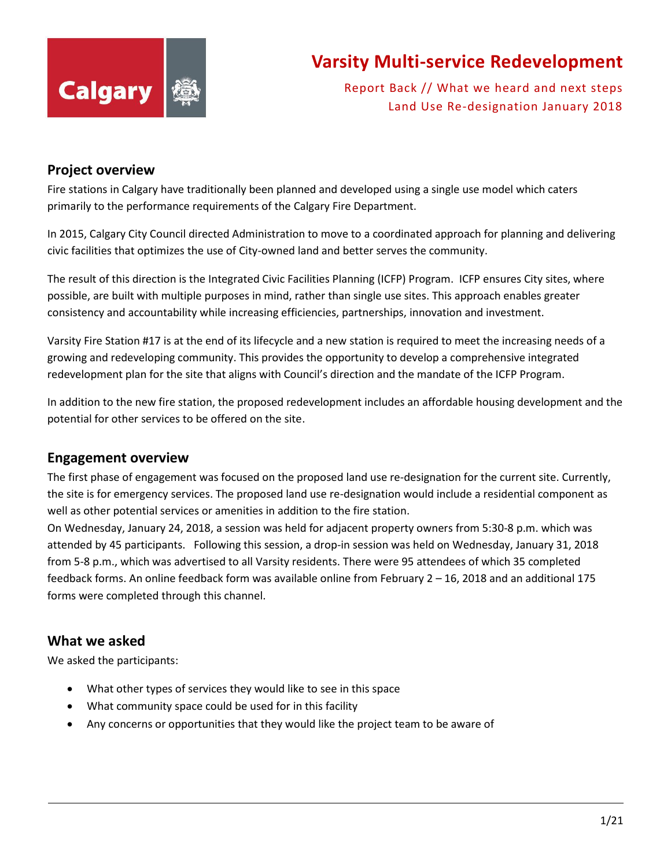

Report Back // What we heard and next steps Land Use Re-designation January 2018

#### **Project overview**

Fire stations in Calgary have traditionally been planned and developed using a single use model which caters primarily to the performance requirements of the Calgary Fire Department.

In 2015, Calgary City Council directed Administration to move to a coordinated approach for planning and delivering civic facilities that optimizes the use of City-owned land and better serves the community.

The result of this direction is the Integrated Civic Facilities Planning (ICFP) Program. ICFP ensures City sites, where possible, are built with multiple purposes in mind, rather than single use sites. This approach enables greater consistency and accountability while increasing efficiencies, partnerships, innovation and investment.

Varsity Fire Station #17 is at the end of its lifecycle and a new station is required to meet the increasing needs of a growing and redeveloping community. This provides the opportunity to develop a comprehensive integrated redevelopment plan for the site that aligns with Council's direction and the mandate of the ICFP Program.

In addition to the new fire station, the proposed redevelopment includes an affordable housing development and the potential for other services to be offered on the site.

#### **Engagement overview**

The first phase of engagement was focused on the proposed land use re-designation for the current site. Currently, the site is for emergency services. The proposed land use re-designation would include a residential component as well as other potential services or amenities in addition to the fire station.

On Wednesday, January 24, 2018, a session was held for adjacent property owners from 5:30-8 p.m. which was attended by 45 participants. Following this session, a drop-in session was held on Wednesday, January 31, 2018 from 5-8 p.m., which was advertised to all Varsity residents. There were 95 attendees of which 35 completed feedback forms. An online feedback form was available online from February 2 – 16, 2018 and an additional 175 forms were completed through this channel.

#### **What we asked**

We asked the participants:

- What other types of services they would like to see in this space
- What community space could be used for in this facility
- Any concerns or opportunities that they would like the project team to be aware of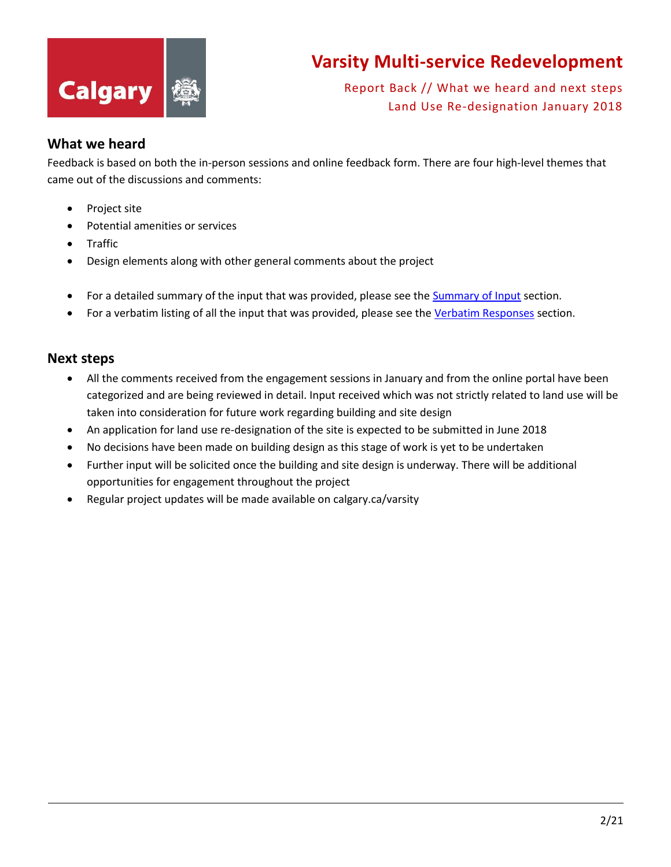

Report Back // What we heard and next steps Land Use Re-designation January 2018

#### **What we heard**

Feedback is based on both the in-person sessions and online feedback form. There are four high-level themes that came out of the discussions and comments:

- Project site
- Potential amenities or services
- Traffic
- Design elements along with other general comments about the project
- For a detailed summary of the input that was provided, please see the [Summary of Input](#page-1-0) section.
- For a verbatim listing of all the input that was provided, please see the [Verbatim Responses](#page-4-0) section.

#### **Next steps**

- All the comments received from the engagement sessions in January and from the online portal have been categorized and are being reviewed in detail. Input received which was not strictly related to land use will be taken into consideration for future work regarding building and site design
- An application for land use re-designation of the site is expected to be submitted in June 2018
- No decisions have been made on building design as this stage of work is yet to be undertaken
- Further input will be solicited once the building and site design is underway. There will be additional opportunities for engagement throughout the project
- <span id="page-1-0"></span>• Regular project updates will be made available on calgary.ca/varsity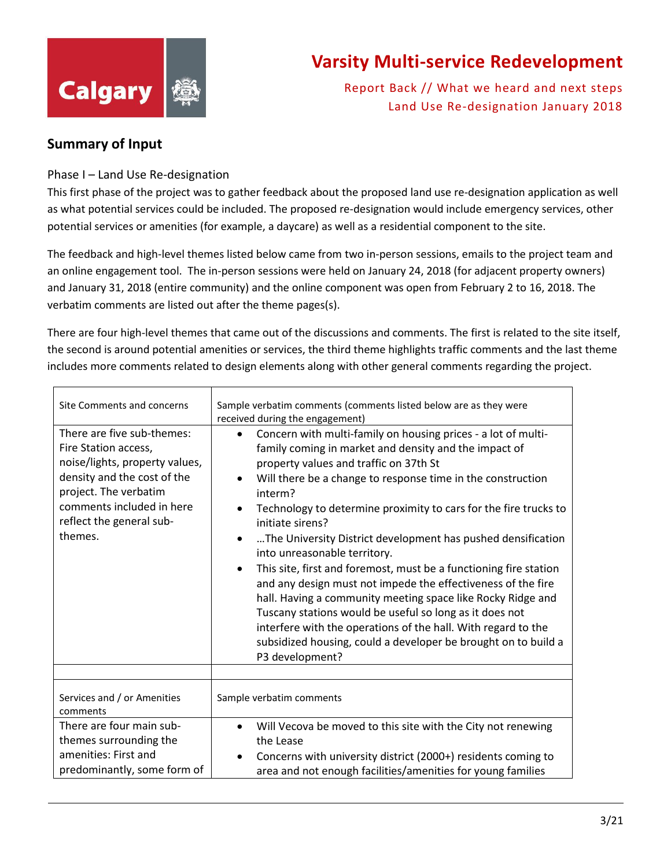

Report Back // What we heard and next steps Land Use Re-designation January 2018

#### **Summary of Input**

#### Phase I – Land Use Re-designation

This first phase of the project was to gather feedback about the proposed land use re-designation application as well as what potential services could be included. The proposed re-designation would include emergency services, other potential services or amenities (for example, a daycare) as well as a residential component to the site.

The feedback and high-level themes listed below came from two in-person sessions, emails to the project team and an online engagement tool. The in-person sessions were held on January 24, 2018 (for adjacent property owners) and January 31, 2018 (entire community) and the online component was open from February 2 to 16, 2018. The verbatim comments are listed out after the theme pages(s).

There are four high-level themes that came out of the discussions and comments. The first is related to the site itself, the second is around potential amenities or services, the third theme highlights traffic comments and the last theme includes more comments related to design elements along with other general comments regarding the project.

| Site Comments and concerns<br>There are five sub-themes:<br>Fire Station access,                                                                           | Sample verbatim comments (comments listed below are as they were<br>received during the engagement)<br>Concern with multi-family on housing prices - a lot of multi-<br>$\bullet$<br>family coming in market and density and the impact of                                                                                                                                                                                                                                                                                                                                                                                                                                                                                                                        |
|------------------------------------------------------------------------------------------------------------------------------------------------------------|-------------------------------------------------------------------------------------------------------------------------------------------------------------------------------------------------------------------------------------------------------------------------------------------------------------------------------------------------------------------------------------------------------------------------------------------------------------------------------------------------------------------------------------------------------------------------------------------------------------------------------------------------------------------------------------------------------------------------------------------------------------------|
| noise/lights, property values,<br>density and the cost of the<br>project. The verbatim<br>comments included in here<br>reflect the general sub-<br>themes. | property values and traffic on 37th St<br>Will there be a change to response time in the construction<br>٠<br>interm?<br>Technology to determine proximity to cars for the fire trucks to<br>$\bullet$<br>initiate sirens?<br>The University District development has pushed densification<br>٠<br>into unreasonable territory.<br>This site, first and foremost, must be a functioning fire station<br>$\bullet$<br>and any design must not impede the effectiveness of the fire<br>hall. Having a community meeting space like Rocky Ridge and<br>Tuscany stations would be useful so long as it does not<br>interfere with the operations of the hall. With regard to the<br>subsidized housing, could a developer be brought on to build a<br>P3 development? |
| Services and / or Amenities<br>comments                                                                                                                    | Sample verbatim comments                                                                                                                                                                                                                                                                                                                                                                                                                                                                                                                                                                                                                                                                                                                                          |
| There are four main sub-<br>themes surrounding the<br>amenities: First and<br>predominantly, some form of                                                  | Will Vecova be moved to this site with the City not renewing<br>the Lease<br>Concerns with university district (2000+) residents coming to<br>٠<br>area and not enough facilities/amenities for young families                                                                                                                                                                                                                                                                                                                                                                                                                                                                                                                                                    |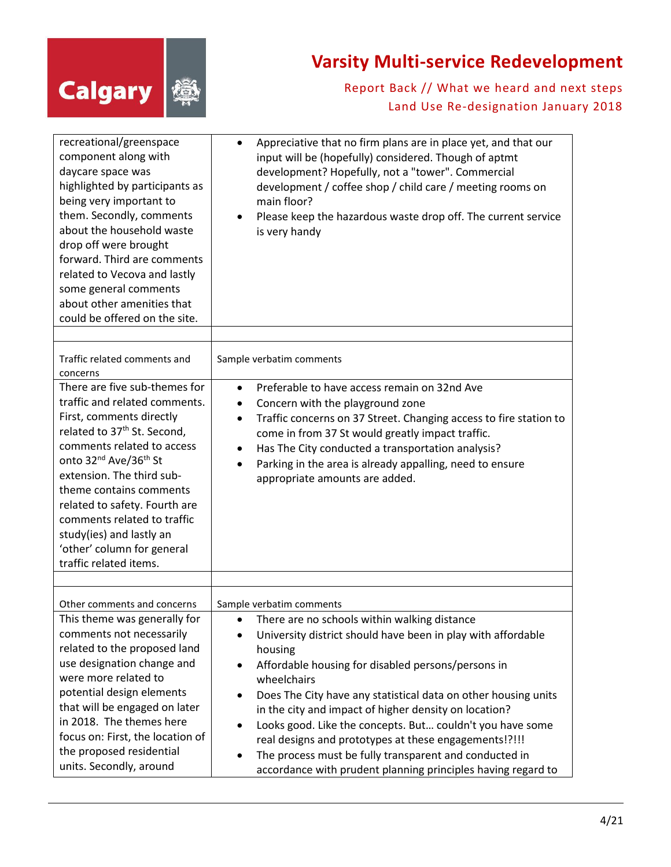

| recreational/greenspace<br>component along with<br>daycare space was<br>highlighted by participants as<br>being very important to<br>them. Secondly, comments<br>about the household waste<br>drop off were brought<br>forward. Third are comments<br>related to Vecova and lastly<br>some general comments<br>about other amenities that<br>could be offered on the site.                                                       | Appreciative that no firm plans are in place yet, and that our<br>٠<br>input will be (hopefully) considered. Though of aptmt<br>development? Hopefully, not a "tower". Commercial<br>development / coffee shop / child care / meeting rooms on<br>main floor?<br>Please keep the hazardous waste drop off. The current service<br>$\bullet$<br>is very handy                                                                                                                                                                                                                                                                     |
|----------------------------------------------------------------------------------------------------------------------------------------------------------------------------------------------------------------------------------------------------------------------------------------------------------------------------------------------------------------------------------------------------------------------------------|----------------------------------------------------------------------------------------------------------------------------------------------------------------------------------------------------------------------------------------------------------------------------------------------------------------------------------------------------------------------------------------------------------------------------------------------------------------------------------------------------------------------------------------------------------------------------------------------------------------------------------|
| Traffic related comments and<br>concerns                                                                                                                                                                                                                                                                                                                                                                                         | Sample verbatim comments                                                                                                                                                                                                                                                                                                                                                                                                                                                                                                                                                                                                         |
| There are five sub-themes for<br>traffic and related comments.<br>First, comments directly<br>related to 37 <sup>th</sup> St. Second,<br>comments related to access<br>onto 32 <sup>nd</sup> Ave/36 <sup>th</sup> St<br>extension. The third sub-<br>theme contains comments<br>related to safety. Fourth are<br>comments related to traffic<br>study(ies) and lastly an<br>'other' column for general<br>traffic related items. | Preferable to have access remain on 32nd Ave<br>$\bullet$<br>Concern with the playground zone<br>$\bullet$<br>Traffic concerns on 37 Street. Changing access to fire station to<br>٠<br>come in from 37 St would greatly impact traffic.<br>Has The City conducted a transportation analysis?<br>$\bullet$<br>Parking in the area is already appalling, need to ensure<br>$\bullet$<br>appropriate amounts are added.                                                                                                                                                                                                            |
| Other comments and concerns                                                                                                                                                                                                                                                                                                                                                                                                      | Sample verbatim comments                                                                                                                                                                                                                                                                                                                                                                                                                                                                                                                                                                                                         |
| This theme was generally for<br>comments not necessarily<br>related to the proposed land<br>use designation change and<br>were more related to<br>potential design elements<br>that will be engaged on later<br>in 2018. The themes here<br>focus on: First, the location of<br>the proposed residential<br>units. Secondly, around                                                                                              | There are no schools within walking distance<br>$\bullet$<br>University district should have been in play with affordable<br>٠<br>housing<br>Affordable housing for disabled persons/persons in<br>$\bullet$<br>wheelchairs<br>Does The City have any statistical data on other housing units<br>in the city and impact of higher density on location?<br>Looks good. Like the concepts. But couldn't you have some<br>$\bullet$<br>real designs and prototypes at these engagements!?!!!<br>The process must be fully transparent and conducted in<br>$\bullet$<br>accordance with prudent planning principles having regard to |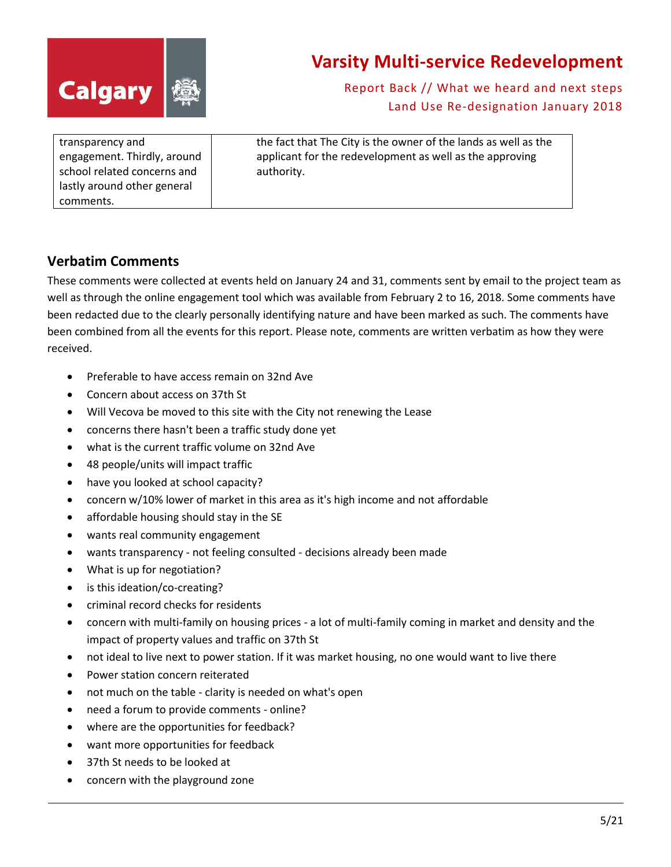

Report Back // What we heard and next steps Land Use Re-designation January 2018

| transparency and<br>engagement. Thirdly, around<br>school related concerns and<br>lastly around other general<br>comments. | the fact that The City is the owner of the lands as well as the<br>applicant for the redevelopment as well as the approving<br>authority. |
|----------------------------------------------------------------------------------------------------------------------------|-------------------------------------------------------------------------------------------------------------------------------------------|
|----------------------------------------------------------------------------------------------------------------------------|-------------------------------------------------------------------------------------------------------------------------------------------|

#### <span id="page-4-0"></span>**Verbatim Comments**

These comments were collected at events held on January 24 and 31, comments sent by email to the project team as well as through the online engagement tool which was available from February 2 to 16, 2018. Some comments have been redacted due to the clearly personally identifying nature and have been marked as such. The comments have been combined from all the events for this report. Please note, comments are written verbatim as how they were received.

- Preferable to have access remain on 32nd Ave
- Concern about access on 37th St
- Will Vecova be moved to this site with the City not renewing the Lease
- concerns there hasn't been a traffic study done yet
- what is the current traffic volume on 32nd Ave
- 48 people/units will impact traffic
- have you looked at school capacity?
- concern w/10% lower of market in this area as it's high income and not affordable
- affordable housing should stay in the SE
- wants real community engagement
- wants transparency not feeling consulted decisions already been made
- What is up for negotiation?
- is this ideation/co-creating?
- criminal record checks for residents
- concern with multi-family on housing prices a lot of multi-family coming in market and density and the impact of property values and traffic on 37th St
- not ideal to live next to power station. If it was market housing, no one would want to live there
- Power station concern reiterated
- not much on the table clarity is needed on what's open
- need a forum to provide comments online?
- where are the opportunities for feedback?
- want more opportunities for feedback
- 37th St needs to be looked at
- concern with the playground zone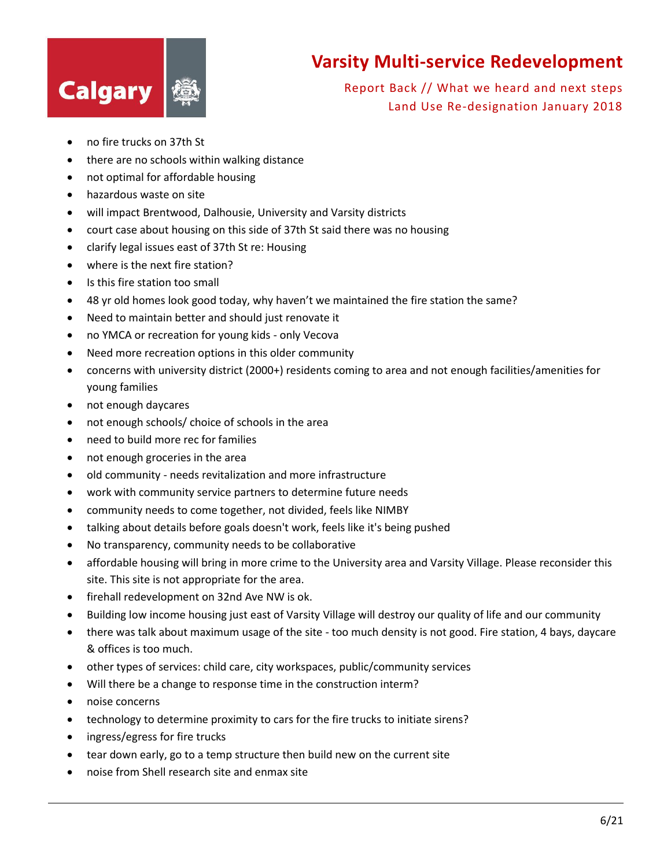

- no fire trucks on 37th St
- there are no schools within walking distance
- not optimal for affordable housing
- hazardous waste on site
- will impact Brentwood, Dalhousie, University and Varsity districts
- court case about housing on this side of 37th St said there was no housing
- clarify legal issues east of 37th St re: Housing
- where is the next fire station?
- Is this fire station too small
- 48 yr old homes look good today, why haven't we maintained the fire station the same?
- Need to maintain better and should just renovate it
- no YMCA or recreation for young kids only Vecova
- Need more recreation options in this older community
- concerns with university district (2000+) residents coming to area and not enough facilities/amenities for young families
- not enough daycares
- not enough schools/ choice of schools in the area
- need to build more rec for families
- not enough groceries in the area
- old community needs revitalization and more infrastructure
- work with community service partners to determine future needs
- community needs to come together, not divided, feels like NIMBY
- talking about details before goals doesn't work, feels like it's being pushed
- No transparency, community needs to be collaborative
- affordable housing will bring in more crime to the University area and Varsity Village. Please reconsider this site. This site is not appropriate for the area.
- firehall redevelopment on 32nd Ave NW is ok.
- Building low income housing just east of Varsity Village will destroy our quality of life and our community
- there was talk about maximum usage of the site too much density is not good. Fire station, 4 bays, daycare & offices is too much.
- other types of services: child care, city workspaces, public/community services
- Will there be a change to response time in the construction interm?
- noise concerns
- technology to determine proximity to cars for the fire trucks to initiate sirens?
- ingress/egress for fire trucks
- tear down early, go to a temp structure then build new on the current site
- noise from Shell research site and enmax site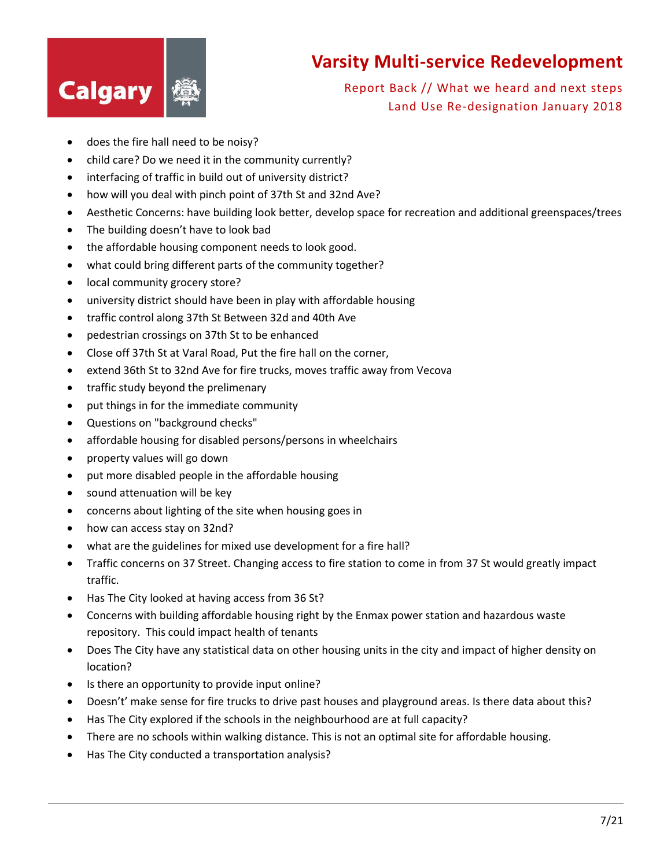

- does the fire hall need to be noisy?
- child care? Do we need it in the community currently?
- interfacing of traffic in build out of university district?
- how will you deal with pinch point of 37th St and 32nd Ave?
- Aesthetic Concerns: have building look better, develop space for recreation and additional greenspaces/trees
- The building doesn't have to look bad
- the affordable housing component needs to look good.
- what could bring different parts of the community together?
- local community grocery store?
- university district should have been in play with affordable housing
- traffic control along 37th St Between 32d and 40th Ave
- pedestrian crossings on 37th St to be enhanced
- Close off 37th St at Varal Road, Put the fire hall on the corner,
- extend 36th St to 32nd Ave for fire trucks, moves traffic away from Vecova
- traffic study beyond the prelimenary
- put things in for the immediate community
- Questions on "background checks"
- affordable housing for disabled persons/persons in wheelchairs
- property values will go down
- put more disabled people in the affordable housing
- sound attenuation will be key
- concerns about lighting of the site when housing goes in
- how can access stay on 32nd?
- what are the guidelines for mixed use development for a fire hall?
- Traffic concerns on 37 Street. Changing access to fire station to come in from 37 St would greatly impact traffic.
- Has The City looked at having access from 36 St?
- Concerns with building affordable housing right by the Enmax power station and hazardous waste repository. This could impact health of tenants
- Does The City have any statistical data on other housing units in the city and impact of higher density on location?
- Is there an opportunity to provide input online?
- Doesn't' make sense for fire trucks to drive past houses and playground areas. Is there data about this?
- Has The City explored if the schools in the neighbourhood are at full capacity?
- There are no schools within walking distance. This is not an optimal site for affordable housing.
- Has The City conducted a transportation analysis?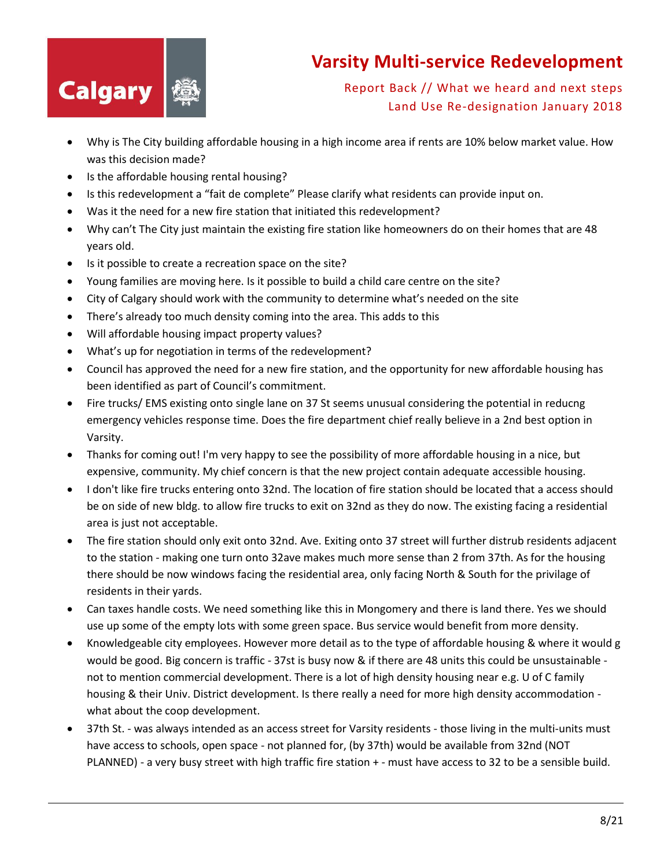

- Why is The City building affordable housing in a high income area if rents are 10% below market value. How was this decision made?
- Is the affordable housing rental housing?
- Is this redevelopment a "fait de complete" Please clarify what residents can provide input on.
- Was it the need for a new fire station that initiated this redevelopment?
- Why can't The City just maintain the existing fire station like homeowners do on their homes that are 48 years old.
- Is it possible to create a recreation space on the site?
- Young families are moving here. Is it possible to build a child care centre on the site?
- City of Calgary should work with the community to determine what's needed on the site
- There's already too much density coming into the area. This adds to this
- Will affordable housing impact property values?
- What's up for negotiation in terms of the redevelopment?
- Council has approved the need for a new fire station, and the opportunity for new affordable housing has been identified as part of Council's commitment.
- Fire trucks/ EMS existing onto single lane on 37 St seems unusual considering the potential in reducng emergency vehicles response time. Does the fire department chief really believe in a 2nd best option in Varsity.
- Thanks for coming out! I'm very happy to see the possibility of more affordable housing in a nice, but expensive, community. My chief concern is that the new project contain adequate accessible housing.
- I don't like fire trucks entering onto 32nd. The location of fire station should be located that a access should be on side of new bldg. to allow fire trucks to exit on 32nd as they do now. The existing facing a residential area is just not acceptable.
- The fire station should only exit onto 32nd. Ave. Exiting onto 37 street will further distrub residents adjacent to the station - making one turn onto 32ave makes much more sense than 2 from 37th. As for the housing there should be now windows facing the residential area, only facing North & South for the privilage of residents in their yards.
- Can taxes handle costs. We need something like this in Mongomery and there is land there. Yes we should use up some of the empty lots with some green space. Bus service would benefit from more density.
- Knowledgeable city employees. However more detail as to the type of affordable housing & where it would g would be good. Big concern is traffic - 37st is busy now & if there are 48 units this could be unsustainable not to mention commercial development. There is a lot of high density housing near e.g. U of C family housing & their Univ. District development. Is there really a need for more high density accommodation what about the coop development.
- 37th St. was always intended as an access street for Varsity residents those living in the multi-units must have access to schools, open space - not planned for, (by 37th) would be available from 32nd (NOT PLANNED) - a very busy street with high traffic fire station + - must have access to 32 to be a sensible build.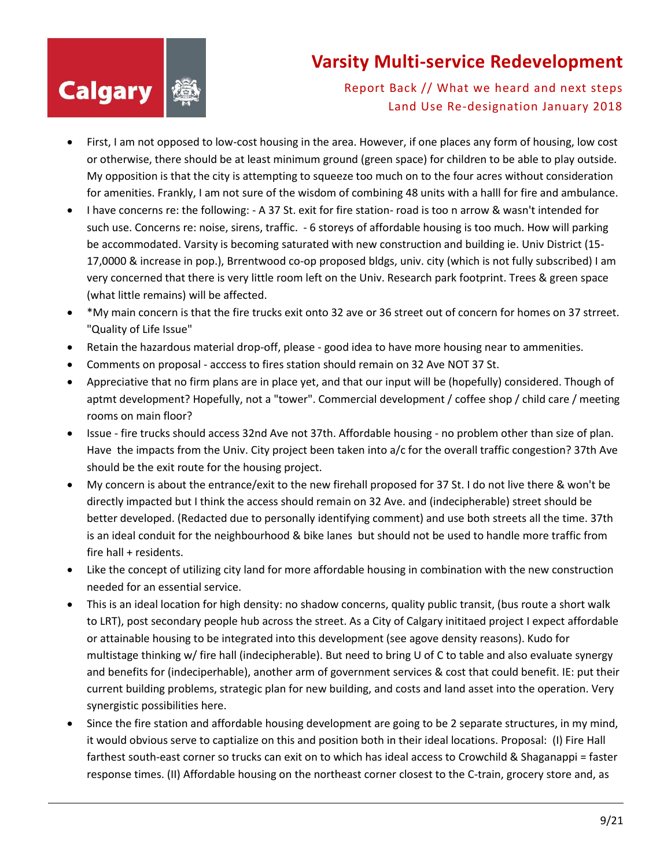

- First, I am not opposed to low-cost housing in the area. However, if one places any form of housing, low cost or otherwise, there should be at least minimum ground (green space) for children to be able to play outside. My opposition is that the city is attempting to squeeze too much on to the four acres without consideration for amenities. Frankly, I am not sure of the wisdom of combining 48 units with a halll for fire and ambulance.
- I have concerns re: the following: A 37 St. exit for fire station- road is too n arrow & wasn't intended for such use. Concerns re: noise, sirens, traffic. - 6 storeys of affordable housing is too much. How will parking be accommodated. Varsity is becoming saturated with new construction and building ie. Univ District (15- 17,0000 & increase in pop.), Brrentwood co-op proposed bldgs, univ. city (which is not fully subscribed) I am very concerned that there is very little room left on the Univ. Research park footprint. Trees & green space (what little remains) will be affected.
- \*My main concern is that the fire trucks exit onto 32 ave or 36 street out of concern for homes on 37 strreet. "Quality of Life Issue"
- Retain the hazardous material drop-off, please good idea to have more housing near to ammenities.
- Comments on proposal acccess to fires station should remain on 32 Ave NOT 37 St.
- Appreciative that no firm plans are in place yet, and that our input will be (hopefully) considered. Though of aptmt development? Hopefully, not a "tower". Commercial development / coffee shop / child care / meeting rooms on main floor?
- Issue fire trucks should access 32nd Ave not 37th. Affordable housing no problem other than size of plan. Have the impacts from the Univ. City project been taken into a/c for the overall traffic congestion? 37th Ave should be the exit route for the housing project.
- My concern is about the entrance/exit to the new firehall proposed for 37 St. I do not live there & won't be directly impacted but I think the access should remain on 32 Ave. and (indecipherable) street should be better developed. (Redacted due to personally identifying comment) and use both streets all the time. 37th is an ideal conduit for the neighbourhood & bike lanes but should not be used to handle more traffic from fire hall + residents.
- Like the concept of utilizing city land for more affordable housing in combination with the new construction needed for an essential service.
- This is an ideal location for high density: no shadow concerns, quality public transit, (bus route a short walk to LRT), post secondary people hub across the street. As a City of Calgary inititaed project I expect affordable or attainable housing to be integrated into this development (see agove density reasons). Kudo for multistage thinking w/ fire hall (indecipherable). But need to bring U of C to table and also evaluate synergy and benefits for (indeciperhable), another arm of government services & cost that could benefit. IE: put their current building problems, strategic plan for new building, and costs and land asset into the operation. Very synergistic possibilities here.
- Since the fire station and affordable housing development are going to be 2 separate structures, in my mind, it would obvious serve to captialize on this and position both in their ideal locations. Proposal: (I) Fire Hall farthest south-east corner so trucks can exit on to which has ideal access to Crowchild & Shaganappi = faster response times. (II) Affordable housing on the northeast corner closest to the C-train, grocery store and, as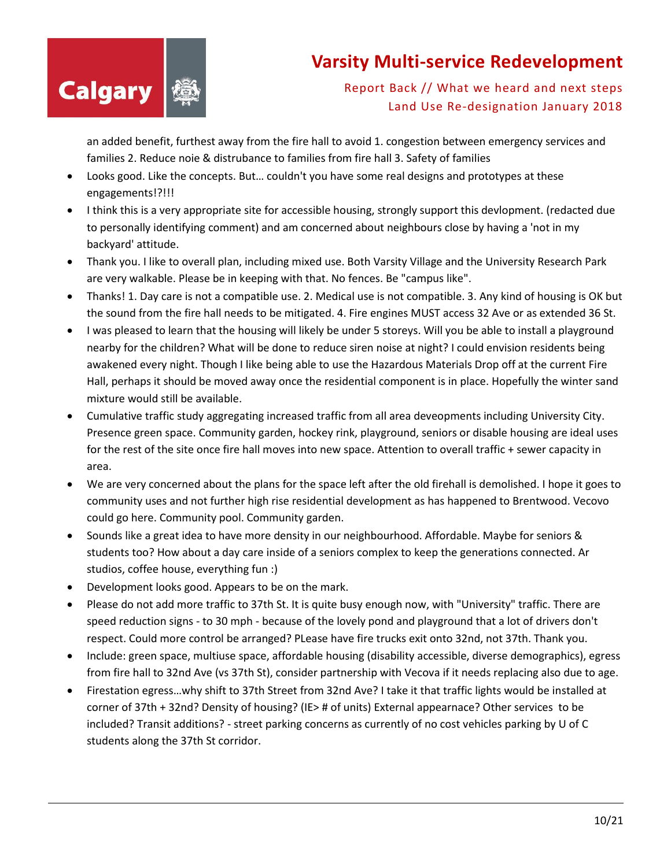

Report Back // What we heard and next steps Land Use Re-designation January 2018

an added benefit, furthest away from the fire hall to avoid 1. congestion between emergency services and families 2. Reduce noie & distrubance to families from fire hall 3. Safety of families

- Looks good. Like the concepts. But… couldn't you have some real designs and prototypes at these engagements!?!!!
- I think this is a very appropriate site for accessible housing, strongly support this devlopment. (redacted due to personally identifying comment) and am concerned about neighbours close by having a 'not in my backyard' attitude.
- Thank you. I like to overall plan, including mixed use. Both Varsity Village and the University Research Park are very walkable. Please be in keeping with that. No fences. Be "campus like".
- Thanks! 1. Day care is not a compatible use. 2. Medical use is not compatible. 3. Any kind of housing is OK but the sound from the fire hall needs to be mitigated. 4. Fire engines MUST access 32 Ave or as extended 36 St.
- I was pleased to learn that the housing will likely be under 5 storeys. Will you be able to install a playground nearby for the children? What will be done to reduce siren noise at night? I could envision residents being awakened every night. Though I like being able to use the Hazardous Materials Drop off at the current Fire Hall, perhaps it should be moved away once the residential component is in place. Hopefully the winter sand mixture would still be available.
- Cumulative traffic study aggregating increased traffic from all area deveopments including University City. Presence green space. Community garden, hockey rink, playground, seniors or disable housing are ideal uses for the rest of the site once fire hall moves into new space. Attention to overall traffic + sewer capacity in area.
- We are very concerned about the plans for the space left after the old firehall is demolished. I hope it goes to community uses and not further high rise residential development as has happened to Brentwood. Vecovo could go here. Community pool. Community garden.
- Sounds like a great idea to have more density in our neighbourhood. Affordable. Maybe for seniors & students too? How about a day care inside of a seniors complex to keep the generations connected. Ar studios, coffee house, everything fun :)
- Development looks good. Appears to be on the mark.
- Please do not add more traffic to 37th St. It is quite busy enough now, with "University" traffic. There are speed reduction signs - to 30 mph - because of the lovely pond and playground that a lot of drivers don't respect. Could more control be arranged? PLease have fire trucks exit onto 32nd, not 37th. Thank you.
- Include: green space, multiuse space, affordable housing (disability accessible, diverse demographics), egress from fire hall to 32nd Ave (vs 37th St), consider partnership with Vecova if it needs replacing also due to age.
- Firestation egress…why shift to 37th Street from 32nd Ave? I take it that traffic lights would be installed at corner of 37th + 32nd? Density of housing? (IE> # of units) External appearnace? Other services to be included? Transit additions? - street parking concerns as currently of no cost vehicles parking by U of C students along the 37th St corridor.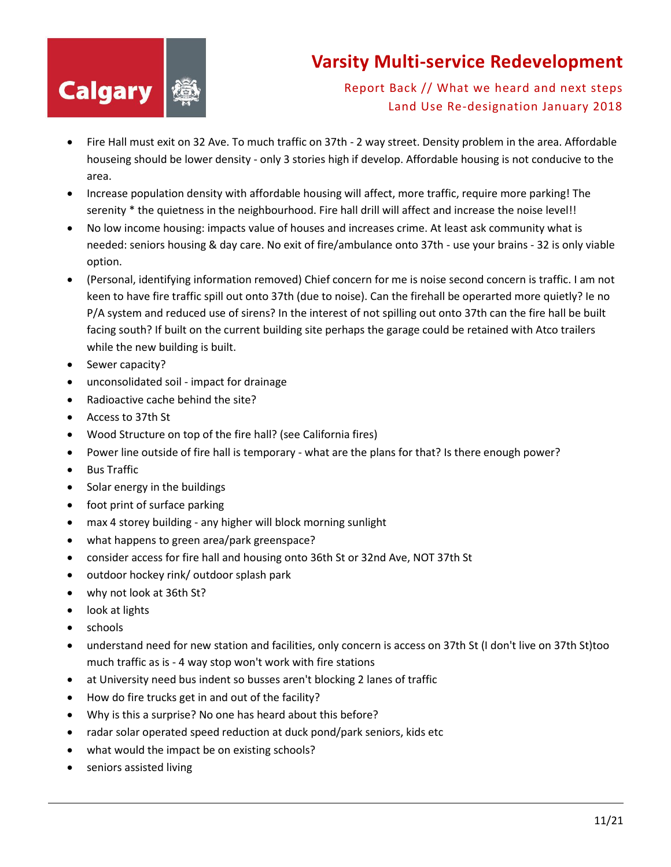

- Fire Hall must exit on 32 Ave. To much traffic on 37th 2 way street. Density problem in the area. Affordable houseing should be lower density - only 3 stories high if develop. Affordable housing is not conducive to the area.
- Increase population density with affordable housing will affect, more traffic, require more parking! The serenity \* the quietness in the neighbourhood. Fire hall drill will affect and increase the noise level!!
- No low income housing: impacts value of houses and increases crime. At least ask community what is needed: seniors housing & day care. No exit of fire/ambulance onto 37th - use your brains - 32 is only viable option.
- (Personal, identifying information removed) Chief concern for me is noise second concern is traffic. I am not keen to have fire traffic spill out onto 37th (due to noise). Can the firehall be operarted more quietly? Ie no P/A system and reduced use of sirens? In the interest of not spilling out onto 37th can the fire hall be built facing south? If built on the current building site perhaps the garage could be retained with Atco trailers while the new building is built.
- Sewer capacity?
- unconsolidated soil impact for drainage
- Radioactive cache behind the site?
- Access to 37th St
- Wood Structure on top of the fire hall? (see California fires)
- Power line outside of fire hall is temporary what are the plans for that? Is there enough power?
- Bus Traffic
- Solar energy in the buildings
- foot print of surface parking
- max 4 storey building any higher will block morning sunlight
- what happens to green area/park greenspace?
- consider access for fire hall and housing onto 36th St or 32nd Ave, NOT 37th St
- outdoor hockey rink/ outdoor splash park
- why not look at 36th St?
- look at lights
- schools
- understand need for new station and facilities, only concern is access on 37th St (I don't live on 37th St)too much traffic as is - 4 way stop won't work with fire stations
- at University need bus indent so busses aren't blocking 2 lanes of traffic
- How do fire trucks get in and out of the facility?
- Why is this a surprise? No one has heard about this before?
- radar solar operated speed reduction at duck pond/park seniors, kids etc
- what would the impact be on existing schools?
- seniors assisted living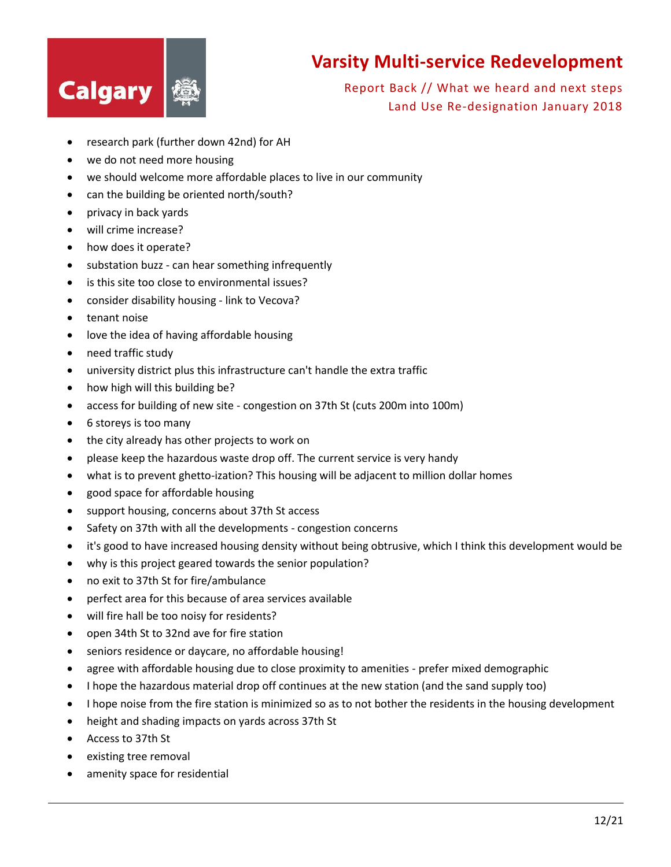

- research park (further down 42nd) for AH
- we do not need more housing
- we should welcome more affordable places to live in our community
- can the building be oriented north/south?
- privacy in back yards
- will crime increase?
- how does it operate?
- substation buzz can hear something infrequently
- is this site too close to environmental issues?
- consider disability housing link to Vecova?
- tenant noise
- love the idea of having affordable housing
- need traffic study
- university district plus this infrastructure can't handle the extra traffic
- how high will this building be?
- access for building of new site congestion on 37th St (cuts 200m into 100m)
- 6 storeys is too many
- the city already has other projects to work on
- please keep the hazardous waste drop off. The current service is very handy
- what is to prevent ghetto-ization? This housing will be adjacent to million dollar homes
- good space for affordable housing
- support housing, concerns about 37th St access
- Safety on 37th with all the developments congestion concerns
- it's good to have increased housing density without being obtrusive, which I think this development would be
- why is this project geared towards the senior population?
- no exit to 37th St for fire/ambulance
- perfect area for this because of area services available
- will fire hall be too noisy for residents?
- open 34th St to 32nd ave for fire station
- seniors residence or daycare, no affordable housing!
- agree with affordable housing due to close proximity to amenities prefer mixed demographic
- I hope the hazardous material drop off continues at the new station (and the sand supply too)
- I hope noise from the fire station is minimized so as to not bother the residents in the housing development
- height and shading impacts on yards across 37th St
- Access to 37th St
- existing tree removal
- amenity space for residential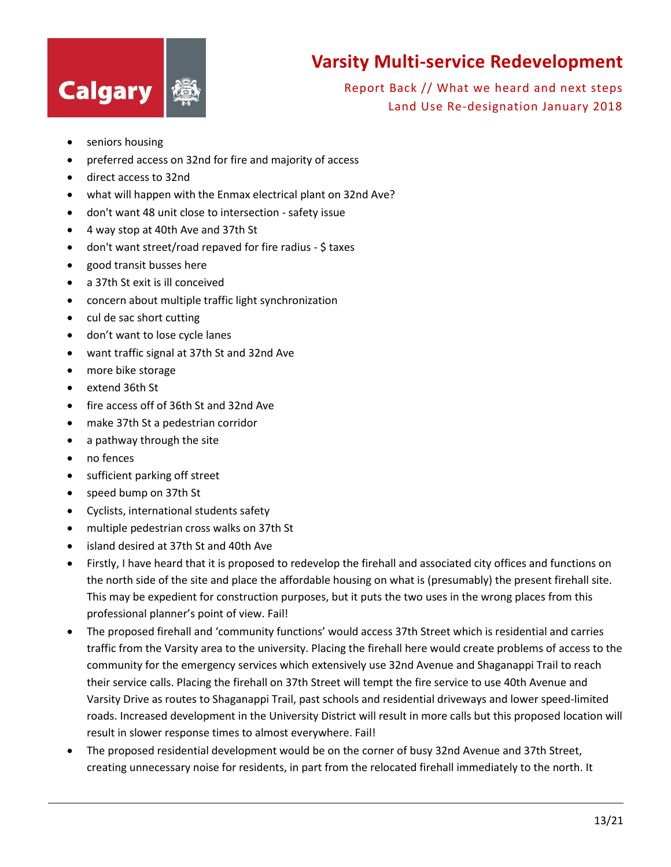



- seniors housing
- preferred access on 32nd for fire and majority of access
- direct access to 32nd
- what will happen with the Enmax electrical plant on 32nd Ave?
- don't want 48 unit close to intersection safety issue
- 4 way stop at 40th Ave and 37th St
- don't want street/road repaved for fire radius \$ taxes
- good transit busses here
- a 37th St exit is ill conceived
- concern about multiple traffic light synchronization
- cul de sac short cutting
- don't want to lose cycle lanes
- want traffic signal at 37th St and 32nd Ave
- more bike storage
- extend 36th St
- fire access off of 36th St and 32nd Ave
- make 37th St a pedestrian corridor
- a pathway through the site
- no fences
- sufficient parking off street
- speed bump on 37th St
- Cyclists, international students safety
- multiple pedestrian cross walks on 37th St
- island desired at 37th St and 40th Ave
- Firstly, I have heard that it is proposed to redevelop the firehall and associated city offices and functions on the north side of the site and place the affordable housing on what is (presumably) the present firehall site. This may be expedient for construction purposes, but it puts the two uses in the wrong places from this professional planner's point of view. Fail!
- The proposed firehall and 'community functions' would access 37th Street which is residential and carries traffic from the Varsity area to the university. Placing the firehall here would create problems of access to the community for the emergency services which extensively use 32nd Avenue and Shaganappi Trail to reach their service calls. Placing the firehall on 37th Street will tempt the fire service to use 40th Avenue and Varsity Drive as routes to Shaganappi Trail, past schools and residential driveways and lower speed-limited roads. Increased development in the University District will result in more calls but this proposed location will result in slower response times to almost everywhere. Fail!
- The proposed residential development would be on the corner of busy 32nd Avenue and 37th Street, creating unnecessary noise for residents, in part from the relocated firehall immediately to the north. It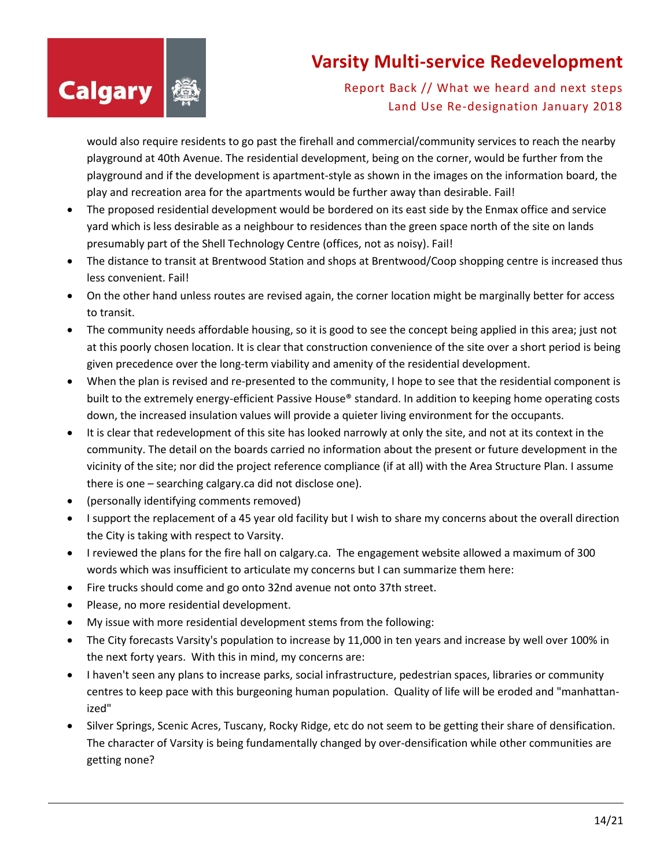

Report Back // What we heard and next steps Land Use Re-designation January 2018

would also require residents to go past the firehall and commercial/community services to reach the nearby playground at 40th Avenue. The residential development, being on the corner, would be further from the playground and if the development is apartment-style as shown in the images on the information board, the play and recreation area for the apartments would be further away than desirable. Fail!

- The proposed residential development would be bordered on its east side by the Enmax office and service yard which is less desirable as a neighbour to residences than the green space north of the site on lands presumably part of the Shell Technology Centre (offices, not as noisy). Fail!
- The distance to transit at Brentwood Station and shops at Brentwood/Coop shopping centre is increased thus less convenient. Fail!
- On the other hand unless routes are revised again, the corner location might be marginally better for access to transit.
- The community needs affordable housing, so it is good to see the concept being applied in this area; just not at this poorly chosen location. It is clear that construction convenience of the site over a short period is being given precedence over the long-term viability and amenity of the residential development.
- When the plan is revised and re-presented to the community, I hope to see that the residential component is built to the extremely energy-efficient Passive House® standard. In addition to keeping home operating costs down, the increased insulation values will provide a quieter living environment for the occupants.
- It is clear that redevelopment of this site has looked narrowly at only the site, and not at its context in the community. The detail on the boards carried no information about the present or future development in the vicinity of the site; nor did the project reference compliance (if at all) with the Area Structure Plan. I assume there is one – searching calgary.ca did not disclose one).
- (personally identifying comments removed)
- I support the replacement of a 45 year old facility but I wish to share my concerns about the overall direction the City is taking with respect to Varsity.
- I reviewed the plans for the fire hall on calgary.ca. The engagement website allowed a maximum of 300 words which was insufficient to articulate my concerns but I can summarize them here:
- Fire trucks should come and go onto 32nd avenue not onto 37th street.
- Please, no more residential development.
- My issue with more residential development stems from the following:
- The City forecasts Varsity's population to increase by 11,000 in ten years and increase by well over 100% in the next forty years. With this in mind, my concerns are:
- I haven't seen any plans to increase parks, social infrastructure, pedestrian spaces, libraries or community centres to keep pace with this burgeoning human population. Quality of life will be eroded and "manhattanized"
- Silver Springs, Scenic Acres, Tuscany, Rocky Ridge, etc do not seem to be getting their share of densification. The character of Varsity is being fundamentally changed by over-densification while other communities are getting none?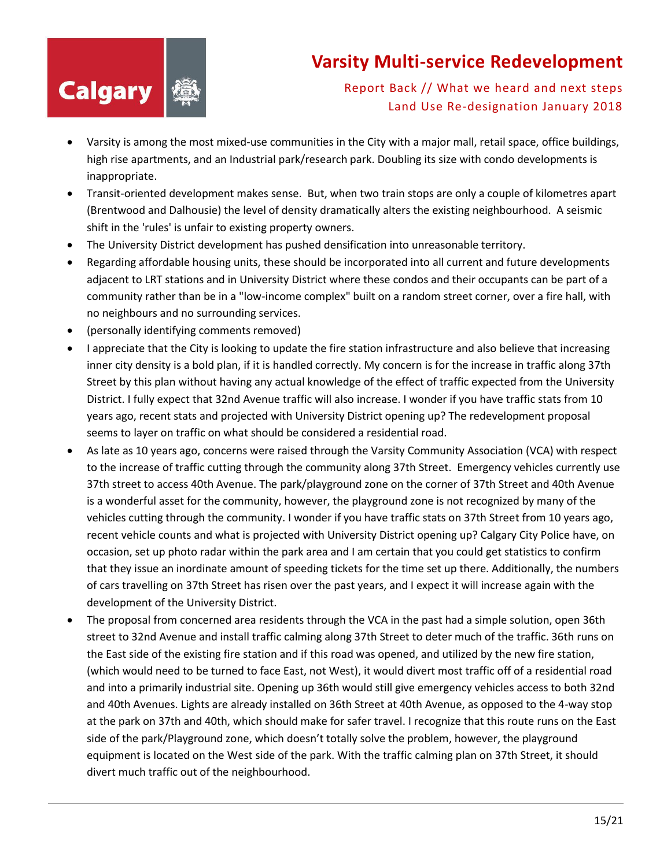

- Varsity is among the most mixed-use communities in the City with a major mall, retail space, office buildings, high rise apartments, and an Industrial park/research park. Doubling its size with condo developments is inappropriate.
- Transit-oriented development makes sense. But, when two train stops are only a couple of kilometres apart (Brentwood and Dalhousie) the level of density dramatically alters the existing neighbourhood. A seismic shift in the 'rules' is unfair to existing property owners.
- The University District development has pushed densification into unreasonable territory.
- Regarding affordable housing units, these should be incorporated into all current and future developments adjacent to LRT stations and in University District where these condos and their occupants can be part of a community rather than be in a "low-income complex" built on a random street corner, over a fire hall, with no neighbours and no surrounding services.
- (personally identifying comments removed)
- I appreciate that the City is looking to update the fire station infrastructure and also believe that increasing inner city density is a bold plan, if it is handled correctly. My concern is for the increase in traffic along 37th Street by this plan without having any actual knowledge of the effect of traffic expected from the University District. I fully expect that 32nd Avenue traffic will also increase. I wonder if you have traffic stats from 10 years ago, recent stats and projected with University District opening up? The redevelopment proposal seems to layer on traffic on what should be considered a residential road.
- As late as 10 years ago, concerns were raised through the Varsity Community Association (VCA) with respect to the increase of traffic cutting through the community along 37th Street. Emergency vehicles currently use 37th street to access 40th Avenue. The park/playground zone on the corner of 37th Street and 40th Avenue is a wonderful asset for the community, however, the playground zone is not recognized by many of the vehicles cutting through the community. I wonder if you have traffic stats on 37th Street from 10 years ago, recent vehicle counts and what is projected with University District opening up? Calgary City Police have, on occasion, set up photo radar within the park area and I am certain that you could get statistics to confirm that they issue an inordinate amount of speeding tickets for the time set up there. Additionally, the numbers of cars travelling on 37th Street has risen over the past years, and I expect it will increase again with the development of the University District.
- The proposal from concerned area residents through the VCA in the past had a simple solution, open 36th street to 32nd Avenue and install traffic calming along 37th Street to deter much of the traffic. 36th runs on the East side of the existing fire station and if this road was opened, and utilized by the new fire station, (which would need to be turned to face East, not West), it would divert most traffic off of a residential road and into a primarily industrial site. Opening up 36th would still give emergency vehicles access to both 32nd and 40th Avenues. Lights are already installed on 36th Street at 40th Avenue, as opposed to the 4-way stop at the park on 37th and 40th, which should make for safer travel. I recognize that this route runs on the East side of the park/Playground zone, which doesn't totally solve the problem, however, the playground equipment is located on the West side of the park. With the traffic calming plan on 37th Street, it should divert much traffic out of the neighbourhood.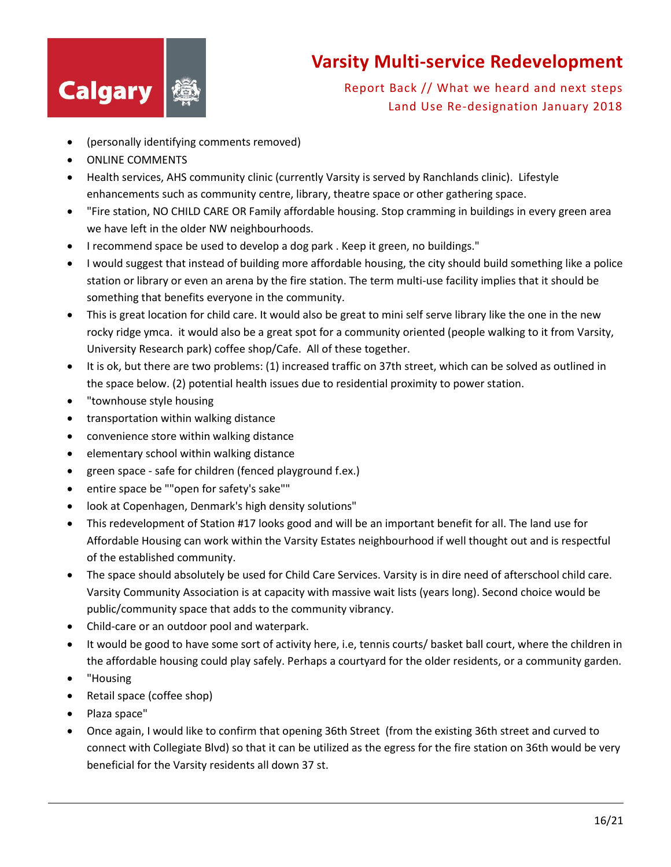

- (personally identifying comments removed)
- ONLINE COMMENTS
- Health services, AHS community clinic (currently Varsity is served by Ranchlands clinic). Lifestyle enhancements such as community centre, library, theatre space or other gathering space.
- "Fire station, NO CHILD CARE OR Family affordable housing. Stop cramming in buildings in every green area we have left in the older NW neighbourhoods.
- I recommend space be used to develop a dog park . Keep it green, no buildings."
- I would suggest that instead of building more affordable housing, the city should build something like a police station or library or even an arena by the fire station. The term multi-use facility implies that it should be something that benefits everyone in the community.
- This is great location for child care. It would also be great to mini self serve library like the one in the new rocky ridge ymca. it would also be a great spot for a community oriented (people walking to it from Varsity, University Research park) coffee shop/Cafe. All of these together.
- It is ok, but there are two problems: (1) increased traffic on 37th street, which can be solved as outlined in the space below. (2) potential health issues due to residential proximity to power station.
- "townhouse style housing
- transportation within walking distance
- convenience store within walking distance
- elementary school within walking distance
- green space safe for children (fenced playground f.ex.)
- entire space be ""open for safety's sake""
- look at Copenhagen, Denmark's high density solutions"
- This redevelopment of Station #17 looks good and will be an important benefit for all. The land use for Affordable Housing can work within the Varsity Estates neighbourhood if well thought out and is respectful of the established community.
- The space should absolutely be used for Child Care Services. Varsity is in dire need of afterschool child care. Varsity Community Association is at capacity with massive wait lists (years long). Second choice would be public/community space that adds to the community vibrancy.
- Child-care or an outdoor pool and waterpark.
- It would be good to have some sort of activity here, i.e, tennis courts/ basket ball court, where the children in the affordable housing could play safely. Perhaps a courtyard for the older residents, or a community garden.
- "Housing
- Retail space (coffee shop)
- Plaza space"
- Once again, I would like to confirm that opening 36th Street (from the existing 36th street and curved to connect with Collegiate Blvd) so that it can be utilized as the egress for the fire station on 36th would be very beneficial for the Varsity residents all down 37 st.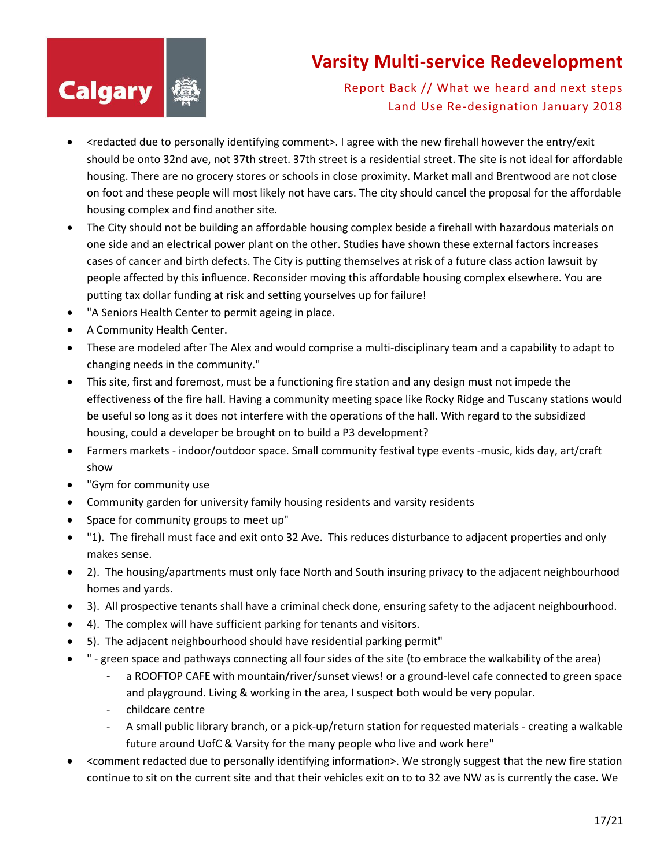

- <redacted due to personally identifying comment>. I agree with the new firehall however the entry/exit should be onto 32nd ave, not 37th street. 37th street is a residential street. The site is not ideal for affordable housing. There are no grocery stores or schools in close proximity. Market mall and Brentwood are not close on foot and these people will most likely not have cars. The city should cancel the proposal for the affordable housing complex and find another site.
- The City should not be building an affordable housing complex beside a firehall with hazardous materials on one side and an electrical power plant on the other. Studies have shown these external factors increases cases of cancer and birth defects. The City is putting themselves at risk of a future class action lawsuit by people affected by this influence. Reconsider moving this affordable housing complex elsewhere. You are putting tax dollar funding at risk and setting yourselves up for failure!
- "A Seniors Health Center to permit ageing in place.
- A Community Health Center.
- These are modeled after The Alex and would comprise a multi-disciplinary team and a capability to adapt to changing needs in the community."
- This site, first and foremost, must be a functioning fire station and any design must not impede the effectiveness of the fire hall. Having a community meeting space like Rocky Ridge and Tuscany stations would be useful so long as it does not interfere with the operations of the hall. With regard to the subsidized housing, could a developer be brought on to build a P3 development?
- Farmers markets indoor/outdoor space. Small community festival type events -music, kids day, art/craft show
- "Gym for community use
- Community garden for university family housing residents and varsity residents
- Space for community groups to meet up"
- "1). The firehall must face and exit onto 32 Ave. This reduces disturbance to adjacent properties and only makes sense.
- 2). The housing/apartments must only face North and South insuring privacy to the adjacent neighbourhood homes and yards.
- 3). All prospective tenants shall have a criminal check done, ensuring safety to the adjacent neighbourhood.
- 4). The complex will have sufficient parking for tenants and visitors.
- 5). The adjacent neighbourhood should have residential parking permit"
- " green space and pathways connecting all four sides of the site (to embrace the walkability of the area)
	- a ROOFTOP CAFE with mountain/river/sunset views! or a ground-level cafe connected to green space and playground. Living & working in the area, I suspect both would be very popular.
	- childcare centre
	- A small public library branch, or a pick-up/return station for requested materials creating a walkable future around UofC & Varsity for the many people who live and work here"
- <comment redacted due to personally identifying information>. We strongly suggest that the new fire station continue to sit on the current site and that their vehicles exit on to to 32 ave NW as is currently the case. We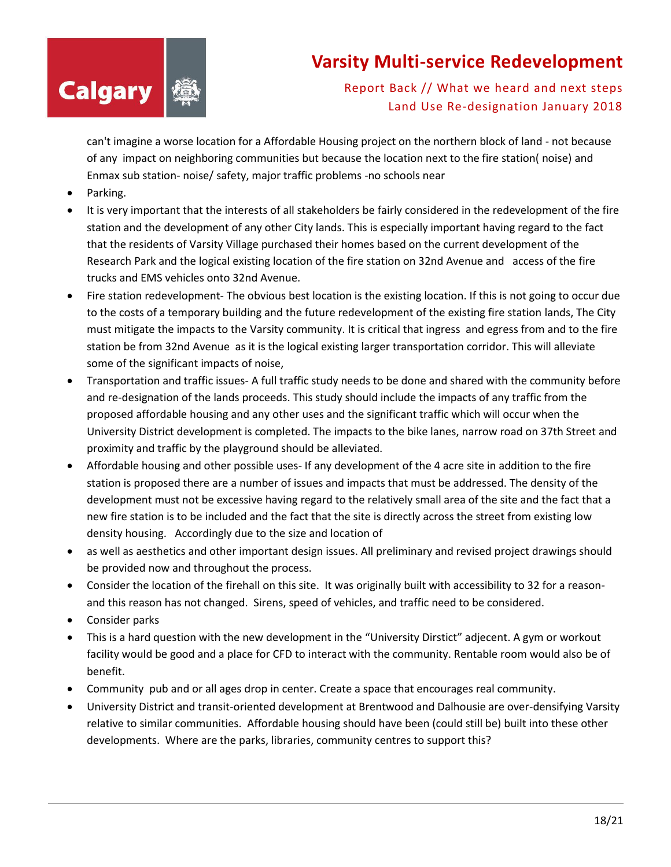

Report Back // What we heard and next steps Land Use Re-designation January 2018

can't imagine a worse location for a Affordable Housing project on the northern block of land - not because of any impact on neighboring communities but because the location next to the fire station( noise) and Enmax sub station- noise/ safety, major traffic problems -no schools near

- Parking.
- It is very important that the interests of all stakeholders be fairly considered in the redevelopment of the fire station and the development of any other City lands. This is especially important having regard to the fact that the residents of Varsity Village purchased their homes based on the current development of the Research Park and the logical existing location of the fire station on 32nd Avenue and access of the fire trucks and EMS vehicles onto 32nd Avenue.
- Fire station redevelopment- The obvious best location is the existing location. If this is not going to occur due to the costs of a temporary building and the future redevelopment of the existing fire station lands, The City must mitigate the impacts to the Varsity community. It is critical that ingress and egress from and to the fire station be from 32nd Avenue as it is the logical existing larger transportation corridor. This will alleviate some of the significant impacts of noise,
- Transportation and traffic issues- A full traffic study needs to be done and shared with the community before and re-designation of the lands proceeds. This study should include the impacts of any traffic from the proposed affordable housing and any other uses and the significant traffic which will occur when the University District development is completed. The impacts to the bike lanes, narrow road on 37th Street and proximity and traffic by the playground should be alleviated.
- Affordable housing and other possible uses- If any development of the 4 acre site in addition to the fire station is proposed there are a number of issues and impacts that must be addressed. The density of the development must not be excessive having regard to the relatively small area of the site and the fact that a new fire station is to be included and the fact that the site is directly across the street from existing low density housing. Accordingly due to the size and location of
- as well as aesthetics and other important design issues. All preliminary and revised project drawings should be provided now and throughout the process.
- Consider the location of the firehall on this site. It was originally built with accessibility to 32 for a reasonand this reason has not changed. Sirens, speed of vehicles, and traffic need to be considered.
- Consider parks
- This is a hard question with the new development in the "University Dirstict" adjecent. A gym or workout facility would be good and a place for CFD to interact with the community. Rentable room would also be of benefit.
- Community pub and or all ages drop in center. Create a space that encourages real community.
- University District and transit-oriented development at Brentwood and Dalhousie are over-densifying Varsity relative to similar communities. Affordable housing should have been (could still be) built into these other developments. Where are the parks, libraries, community centres to support this?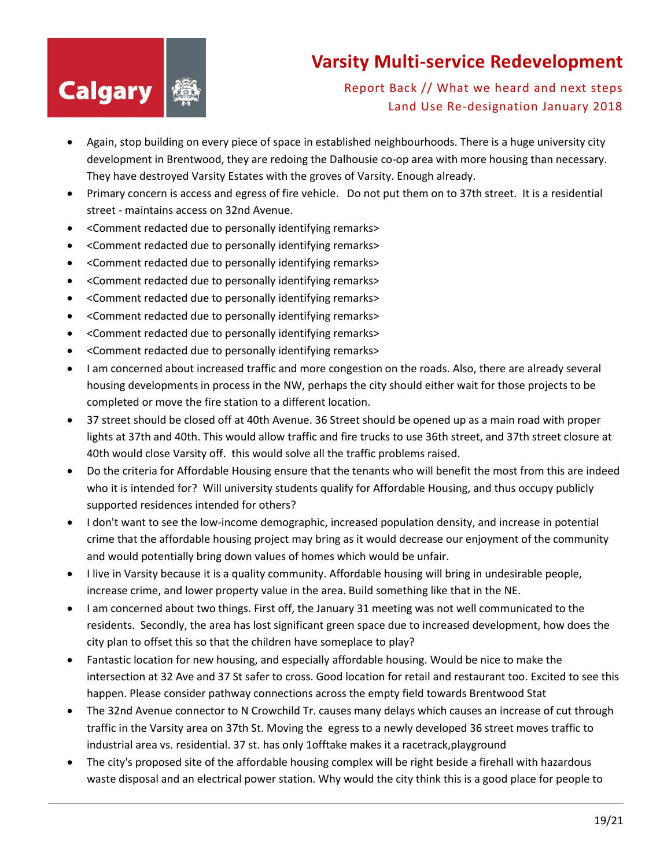

- Again, stop building on every piece of space in established neighbourhoods. There is a huge university city development in Brentwood, they are redoing the Dalhousie co-op area with more housing than necessary. They have destroyed Varsity Estates with the groves of Varsity. Enough already.
- Primary concern is access and egress of fire vehicle. Do not put them on to 37th street. It is a residential street - maintains access on 32nd Avenue.
- <Comment redacted due to personally identifying remarks>
- <Comment redacted due to personally identifying remarks>
- <Comment redacted due to personally identifying remarks>
- <Comment redacted due to personally identifying remarks>
- <Comment redacted due to personally identifying remarks>
- <Comment redacted due to personally identifying remarks>
- <Comment redacted due to personally identifying remarks>
- <Comment redacted due to personally identifying remarks>
- I am concerned about increased traffic and more congestion on the roads. Also, there are already several housing developments in process in the NW, perhaps the city should either wait for those projects to be completed or move the fire station to a different location.
- 37 street should be closed off at 40th Avenue. 36 Street should be opened up as a main road with proper lights at 37th and 40th. This would allow traffic and fire trucks to use 36th street, and 37th street closure at 40th would close Varsity off. this would solve all the traffic problems raised.
- Do the criteria for Affordable Housing ensure that the tenants who will benefit the most from this are indeed who it is intended for? Will university students qualify for Affordable Housing, and thus occupy publicly supported residences intended for others?
- I don't want to see the low-income demographic, increased population density, and increase in potential crime that the affordable housing project may bring as it would decrease our enjoyment of the community and would potentially bring down values of homes which would be unfair.
- I live in Varsity because it is a quality community. Affordable housing will bring in undesirable people, increase crime, and lower property value in the area. Build something like that in the NE.
- I am concerned about two things. First off, the January 31 meeting was not well communicated to the residents. Secondly, the area has lost significant green space due to increased development, how does the city plan to offset this so that the children have someplace to play?
- Fantastic location for new housing, and especially affordable housing. Would be nice to make the intersection at 32 Ave and 37 St safer to cross. Good location for retail and restaurant too. Excited to see this happen. Please consider pathway connections across the empty field towards Brentwood Stat
- The 32nd Avenue connector to N Crowchild Tr. causes many delays which causes an increase of cut through traffic in the Varsity area on 37th St. Moving the egress to a newly developed 36 street moves traffic to industrial area vs. residential. 37 st. has only 1offtake makes it a racetrack,playground
- The city's proposed site of the affordable housing complex will be right beside a firehall with hazardous waste disposal and an electrical power station. Why would the city think this is a good place for people to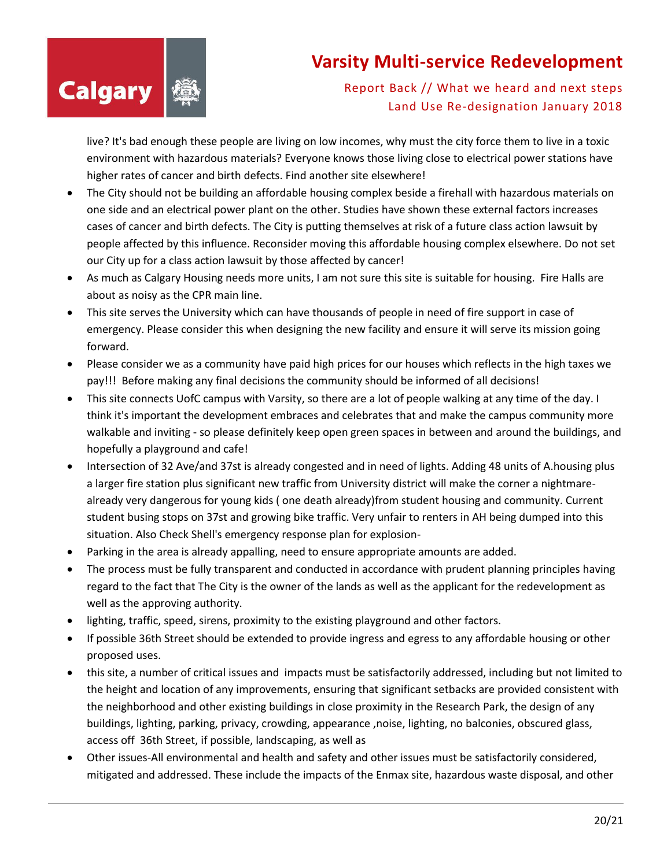

Report Back // What we heard and next steps Land Use Re-designation January 2018

live? It's bad enough these people are living on low incomes, why must the city force them to live in a toxic environment with hazardous materials? Everyone knows those living close to electrical power stations have higher rates of cancer and birth defects. Find another site elsewhere!

- The City should not be building an affordable housing complex beside a firehall with hazardous materials on one side and an electrical power plant on the other. Studies have shown these external factors increases cases of cancer and birth defects. The City is putting themselves at risk of a future class action lawsuit by people affected by this influence. Reconsider moving this affordable housing complex elsewhere. Do not set our City up for a class action lawsuit by those affected by cancer!
- As much as Calgary Housing needs more units, I am not sure this site is suitable for housing. Fire Halls are about as noisy as the CPR main line.
- This site serves the University which can have thousands of people in need of fire support in case of emergency. Please consider this when designing the new facility and ensure it will serve its mission going forward.
- Please consider we as a community have paid high prices for our houses which reflects in the high taxes we pay!!! Before making any final decisions the community should be informed of all decisions!
- This site connects UofC campus with Varsity, so there are a lot of people walking at any time of the day. I think it's important the development embraces and celebrates that and make the campus community more walkable and inviting - so please definitely keep open green spaces in between and around the buildings, and hopefully a playground and cafe!
- Intersection of 32 Ave/and 37st is already congested and in need of lights. Adding 48 units of A.housing plus a larger fire station plus significant new traffic from University district will make the corner a nightmarealready very dangerous for young kids ( one death already)from student housing and community. Current student busing stops on 37st and growing bike traffic. Very unfair to renters in AH being dumped into this situation. Also Check Shell's emergency response plan for explosion-
- Parking in the area is already appalling, need to ensure appropriate amounts are added.
- The process must be fully transparent and conducted in accordance with prudent planning principles having regard to the fact that The City is the owner of the lands as well as the applicant for the redevelopment as well as the approving authority.
- lighting, traffic, speed, sirens, proximity to the existing playground and other factors.
- If possible 36th Street should be extended to provide ingress and egress to any affordable housing or other proposed uses.
- this site, a number of critical issues and impacts must be satisfactorily addressed, including but not limited to the height and location of any improvements, ensuring that significant setbacks are provided consistent with the neighborhood and other existing buildings in close proximity in the Research Park, the design of any buildings, lighting, parking, privacy, crowding, appearance ,noise, lighting, no balconies, obscured glass, access off 36th Street, if possible, landscaping, as well as
- Other issues-All environmental and health and safety and other issues must be satisfactorily considered, mitigated and addressed. These include the impacts of the Enmax site, hazardous waste disposal, and other